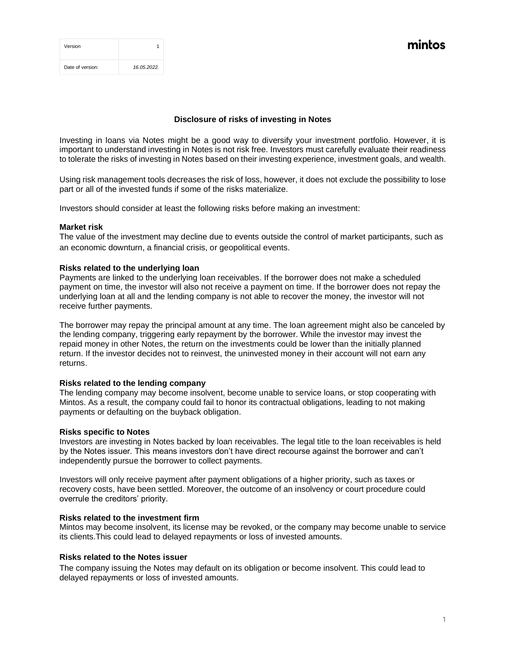| Version          |             |
|------------------|-------------|
| Date of version: | 16.05.2022. |

mintos

## **Disclosure of risks of investing in Notes**

Investing in loans via Notes might be a good way to diversify your investment portfolio. However, it is important to understand investing in Notes is not risk free. Investors must carefully evaluate their readiness to tolerate the risks of investing in Notes based on their investing experience, investment goals, and wealth.

Using risk management tools decreases the risk of loss, however, it does not exclude the possibility to lose part or all of the invested funds if some of the risks materialize.

Investors should consider at least the following risks before making an investment:

#### **Market risk**

The value of the investment may decline due to events outside the control of market participants, such as an economic downturn, a financial crisis, or geopolitical events.

#### **Risks related to the underlying loan**

Payments are linked to the underlying loan receivables. If the borrower does not make a scheduled payment on time, the investor will also not receive a payment on time. If the borrower does not repay the underlying loan at all and the lending company is not able to recover the money, the investor will not receive further payments.

The borrower may repay the principal amount at any time. The loan agreement might also be canceled by the lending company, triggering early repayment by the borrower. While the investor may invest the repaid money in other Notes, the return on the investments could be lower than the initially planned return. If the investor decides not to reinvest, the uninvested money in their account will not earn any returns.

#### **Risks related to the lending company**

The lending company may become insolvent, become unable to service loans, or stop cooperating with Mintos. As a result, the company could fail to honor its contractual obligations, leading to not making payments or defaulting on the buyback obligation.

#### **Risks specific to Notes**

Investors are investing in Notes backed by loan receivables. The legal title to the loan receivables is held by the Notes issuer. This means investors don't have direct recourse against the borrower and can't independently pursue the borrower to collect payments.

Investors will only receive payment after payment obligations of a higher priority, such as taxes or recovery costs, have been settled. Moreover, the outcome of an insolvency or court procedure could overrule the creditors' priority.

#### **Risks related to the investment firm**

Mintos may become insolvent, its license may be revoked, or the company may become unable to service its clients.This could lead to delayed repayments or loss of invested amounts.

## **Risks related to the Notes issuer**

The company issuing the Notes may default on its obligation or become insolvent. This could lead to delayed repayments or loss of invested amounts.